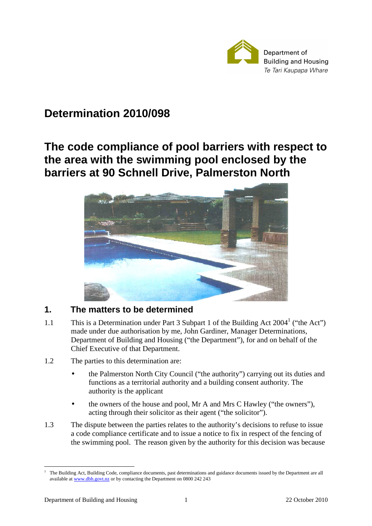

# **Determination 2010/098**

# **The code compliance of pool barriers with respect to the area with the swimming pool enclosed by the barriers at 90 Schnell Drive, Palmerston North**



## **1. The matters to be determined**

- 1.1 This is a Determination under Part 3 Subpart 1 of the Building Act  $2004<sup>1</sup>$  ("the Act") made under due authorisation by me, John Gardiner, Manager Determinations, Department of Building and Housing ("the Department"), for and on behalf of the Chief Executive of that Department.
- 1.2 The parties to this determination are:
	- the Palmerston North City Council ("the authority") carrying out its duties and functions as a territorial authority and a building consent authority. The authority is the applicant
	- the owners of the house and pool, Mr A and Mrs C Hawley ("the owners"), acting through their solicitor as their agent ("the solicitor").
- 1.3 The dispute between the parties relates to the authority's decisions to refuse to issue a code compliance certificate and to issue a notice to fix in respect of the fencing of the swimming pool. The reason given by the authority for this decision was because

 $\overline{a}$ 1 The Building Act, Building Code, compliance documents, past determinations and guidance documents issued by the Department are all available at www.dbh.govt.nz or by contacting the Department on 0800 242 243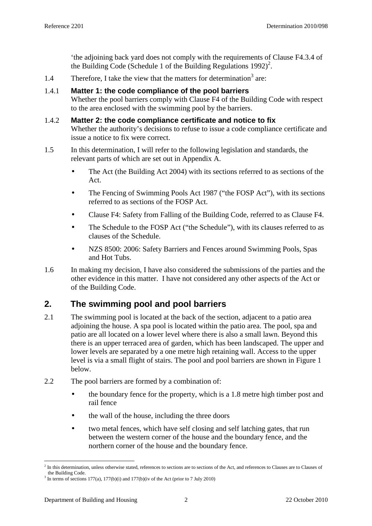'the adjoining back yard does not comply with the requirements of Clause F4.3.4 of the Building Code (Schedule 1 of the Building Regulations 1992)<sup>2</sup>.

1.4 Therefore, I take the view that the matters for determination<sup>3</sup> are:

### 1.4.1 **Matter 1: the code compliance of the pool barriers**

Whether the pool barriers comply with Clause F4 of the Building Code with respect to the area enclosed with the swimming pool by the barriers.

### 1.4.2 **Matter 2: the code compliance certificate and notice to fix**  Whether the authority's decisions to refuse to issue a code compliance certificate and issue a notice to fix were correct.

- 1.5 In this determination, I will refer to the following legislation and standards, the relevant parts of which are set out in Appendix A.
	- The Act (the Building Act 2004) with its sections referred to as sections of the Act.
	- The Fencing of Swimming Pools Act 1987 ("the FOSP Act"), with its sections referred to as sections of the FOSP Act.
	- Clause F4: Safety from Falling of the Building Code, referred to as Clause F4.
	- The Schedule to the FOSP Act ("the Schedule"), with its clauses referred to as clauses of the Schedule.
	- NZS 8500: 2006: Safety Barriers and Fences around Swimming Pools, Spas and Hot Tubs.
- 1.6 In making my decision, I have also considered the submissions of the parties and the other evidence in this matter. I have not considered any other aspects of the Act or of the Building Code.

## **2. The swimming pool and pool barriers**

- 2.1 The swimming pool is located at the back of the section, adjacent to a patio area adjoining the house. A spa pool is located within the patio area. The pool, spa and patio are all located on a lower level where there is also a small lawn. Beyond this there is an upper terraced area of garden, which has been landscaped. The upper and lower levels are separated by a one metre high retaining wall. Access to the upper level is via a small flight of stairs. The pool and pool barriers are shown in Figure 1 below.
- 2.2 The pool barriers are formed by a combination of:
	- the boundary fence for the property, which is a 1.8 metre high timber post and rail fence
	- the wall of the house, including the three doors
	- two metal fences, which have self closing and self latching gates, that run between the western corner of the house and the boundary fence, and the northern corner of the house and the boundary fence.

 $\overline{a}$ 

<sup>&</sup>lt;sup>2</sup> In this determination, unless otherwise stated, references to sections are to sections of the Act, and references to Clauses are to Clauses of the Building Code.

<sup>&</sup>lt;sup>3</sup> In terms of sections 177(a), 177(b)(i) and 177(b)(iv of the Act (prior to 7 July 2010)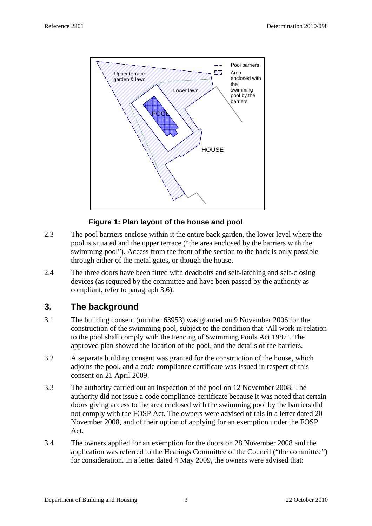

## **Figure 1: Plan layout of the house and pool**

- 2.3 The pool barriers enclose within it the entire back garden, the lower level where the pool is situated and the upper terrace ("the area enclosed by the barriers with the swimming pool"). Access from the front of the section to the back is only possible through either of the metal gates, or though the house.
- 2.4 The three doors have been fitted with deadbolts and self-latching and self-closing devices (as required by the committee and have been passed by the authority as compliant, refer to paragraph 3.6).

## **3. The background**

- 3.1 The building consent (number 63953) was granted on 9 November 2006 for the construction of the swimming pool, subject to the condition that 'All work in relation to the pool shall comply with the Fencing of Swimming Pools Act 1987'. The approved plan showed the location of the pool, and the details of the barriers.
- 3.2 A separate building consent was granted for the construction of the house, which adjoins the pool, and a code compliance certificate was issued in respect of this consent on 21 April 2009.
- 3.3 The authority carried out an inspection of the pool on 12 November 2008. The authority did not issue a code compliance certificate because it was noted that certain doors giving access to the area enclosed with the swimming pool by the barriers did not comply with the FOSP Act. The owners were advised of this in a letter dated 20 November 2008, and of their option of applying for an exemption under the FOSP Act.
- 3.4 The owners applied for an exemption for the doors on 28 November 2008 and the application was referred to the Hearings Committee of the Council ("the committee") for consideration. In a letter dated 4 May 2009, the owners were advised that: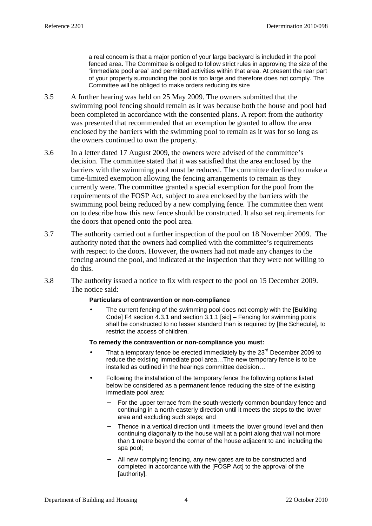a real concern is that a major portion of your large backyard is included in the pool fenced area. The Committee is obliged to follow strict rules in approving the size of the "immediate pool area" and permitted activities within that area. At present the rear part of your property surrounding the pool is too large and therefore does not comply. The Committee will be obliged to make orders reducing its size

- 3.5 A further hearing was held on 25 May 2009. The owners submitted that the swimming pool fencing should remain as it was because both the house and pool had been completed in accordance with the consented plans. A report from the authority was presented that recommended that an exemption be granted to allow the area enclosed by the barriers with the swimming pool to remain as it was for so long as the owners continued to own the property.
- 3.6 In a letter dated 17 August 2009, the owners were advised of the committee's decision. The committee stated that it was satisfied that the area enclosed by the barriers with the swimming pool must be reduced. The committee declined to make a time-limited exemption allowing the fencing arrangements to remain as they currently were. The committee granted a special exemption for the pool from the requirements of the FOSP Act, subject to area enclosed by the barriers with the swimming pool being reduced by a new complying fence. The committee then went on to describe how this new fence should be constructed. It also set requirements for the doors that opened onto the pool area.
- 3.7 The authority carried out a further inspection of the pool on 18 November 2009. The authority noted that the owners had complied with the committee's requirements with respect to the doors. However, the owners had not made any changes to the fencing around the pool, and indicated at the inspection that they were not willing to do this.
- 3.8 The authority issued a notice to fix with respect to the pool on 15 December 2009. The notice said:

#### **Particulars of contravention or non-compliance**

The current fencing of the swimming pool does not comply with the [Building Code] F4 section 4.3.1 and section 3.1.1 [sic] – Fencing for swimming pools shall be constructed to no lesser standard than is required by [the Schedule], to restrict the access of children.

#### **To remedy the contravention or non-compliance you must:**

- That a temporary fence be erected immediately by the 23<sup>rd</sup> December 2009 to reduce the existing immediate pool area…The new temporary fence is to be installed as outlined in the hearings committee decision…
- Following the installation of the temporary fence the following options listed below be considered as a permanent fence reducing the size of the existing immediate pool area:
	- − For the upper terrace from the south-westerly common boundary fence and continuing in a north-easterly direction until it meets the steps to the lower area and excluding such steps; and
	- Thence in a vertical direction until it meets the lower ground level and then continuing diagonally to the house wall at a point along that wall not more than 1 metre beyond the corner of the house adjacent to and including the spa pool;
	- All new complying fencing, any new gates are to be constructed and completed in accordance with the [FOSP Act] to the approval of the [authority].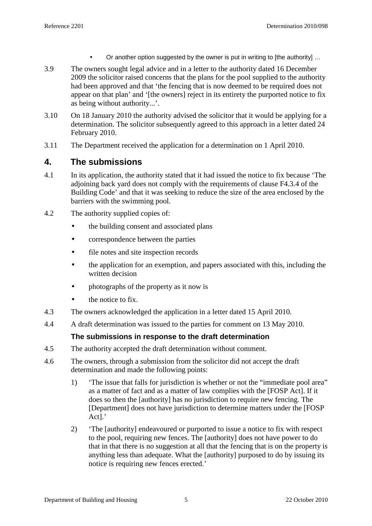- Or another option suggested by the owner is put in writing to [the authority] ...
- 3.9 The owners sought legal advice and in a letter to the authority dated 16 December 2009 the solicitor raised concerns that the plans for the pool supplied to the authority had been approved and that 'the fencing that is now deemed to be required does not appear on that plan' and '[the owners] reject in its entirety the purported notice to fix as being without authority...'.
- 3.10 On 18 January 2010 the authority advised the solicitor that it would be applying for a determination. The solicitor subsequently agreed to this approach in a letter dated 24 February 2010.
- 3.11 The Department received the application for a determination on 1 April 2010.

## **4. The submissions**

- 4.1 In its application, the authority stated that it had issued the notice to fix because 'The adjoining back yard does not comply with the requirements of clause F4.3.4 of the Building Code' and that it was seeking to reduce the size of the area enclosed by the barriers with the swimming pool.
- 4.2 The authority supplied copies of:
	- the building consent and associated plans
	- correspondence between the parties
	- file notes and site inspection records
	- the application for an exemption, and papers associated with this, including the written decision
	- photographs of the property as it now is
	- the notice to fix.
- 4.3 The owners acknowledged the application in a letter dated 15 April 2010.
- 4.4 A draft determination was issued to the parties for comment on 13 May 2010.

## **The submissions in response to the draft determination**

- 4.5 The authority accepted the draft determination without comment.
- 4.6 The owners, through a submission from the solicitor did not accept the draft determination and made the following points:
	- 1) 'The issue that falls for jurisdiction is whether or not the "immediate pool area" as a matter of fact and as a matter of law complies with the [FOSP Act]. If it does so then the [authority] has no jurisdiction to require new fencing. The [Department] does not have jurisdiction to determine matters under the [FOSP Act].'
	- 2) 'The [authority] endeavoured or purported to issue a notice to fix with respect to the pool, requiring new fences. The [authority] does not have power to do that in that there is no suggestion at all that the fencing that is on the property is anything less than adequate. What the [authority] purposed to do by issuing its notice is requiring new fences erected.'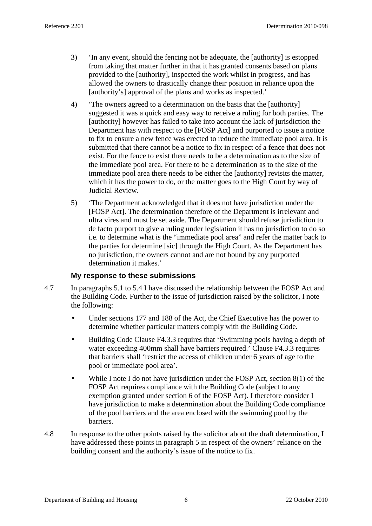- 3) 'In any event, should the fencing not be adequate, the [authority] is estopped from taking that matter further in that it has granted consents based on plans provided to the [authority], inspected the work whilst in progress, and has allowed the owners to drastically change their position in reliance upon the [authority's] approval of the plans and works as inspected.'
- 4) 'The owners agreed to a determination on the basis that the [authority] suggested it was a quick and easy way to receive a ruling for both parties. The [authority] however has failed to take into account the lack of jurisdiction the Department has with respect to the [FOSP Act] and purported to issue a notice to fix to ensure a new fence was erected to reduce the immediate pool area. It is submitted that there cannot be a notice to fix in respect of a fence that does not exist. For the fence to exist there needs to be a determination as to the size of the immediate pool area. For there to be a determination as to the size of the immediate pool area there needs to be either the [authority] revisits the matter, which it has the power to do, or the matter goes to the High Court by way of Judicial Review.
- 5) 'The Department acknowledged that it does not have jurisdiction under the [FOSP Act]. The determination therefore of the Department is irrelevant and ultra vires and must be set aside. The Department should refuse jurisdiction to de facto purport to give a ruling under legislation it has no jurisdiction to do so i.e. to determine what is the "immediate pool area" and refer the matter back to the parties for determine [sic] through the High Court. As the Department has no jurisdiction, the owners cannot and are not bound by any purported determination it makes.'

### **My response to these submissions**

- 4.7 In paragraphs 5.1 to 5.4 I have discussed the relationship between the FOSP Act and the Building Code. Further to the issue of jurisdiction raised by the solicitor, I note the following:
	- Under sections 177 and 188 of the Act, the Chief Executive has the power to determine whether particular matters comply with the Building Code.
	- Building Code Clause F4.3.3 requires that 'Swimming pools having a depth of water exceeding 400mm shall have barriers required.' Clause F4.3.3 requires that barriers shall 'restrict the access of children under 6 years of age to the pool or immediate pool area'.
	- While I note I do not have jurisdiction under the FOSP Act, section 8(1) of the FOSP Act requires compliance with the Building Code (subject to any exemption granted under section 6 of the FOSP Act). I therefore consider I have jurisdiction to make a determination about the Building Code compliance of the pool barriers and the area enclosed with the swimming pool by the barriers.
- 4.8 In response to the other points raised by the solicitor about the draft determination, I have addressed these points in paragraph 5 in respect of the owners' reliance on the building consent and the authority's issue of the notice to fix.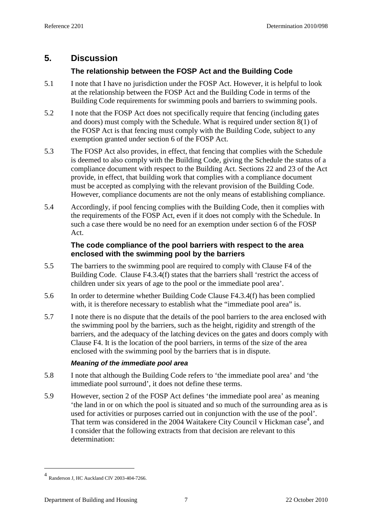## **5. Discussion**

## **The relationship between the FOSP Act and the Building Code**

- 5.1 I note that I have no jurisdiction under the FOSP Act. However, it is helpful to look at the relationship between the FOSP Act and the Building Code in terms of the Building Code requirements for swimming pools and barriers to swimming pools.
- 5.2 I note that the FOSP Act does not specifically require that fencing (including gates and doors) must comply with the Schedule. What is required under section 8(1) of the FOSP Act is that fencing must comply with the Building Code, subject to any exemption granted under section 6 of the FOSP Act.
- 5.3 The FOSP Act also provides, in effect, that fencing that complies with the Schedule is deemed to also comply with the Building Code, giving the Schedule the status of a compliance document with respect to the Building Act. Sections 22 and 23 of the Act provide, in effect, that building work that complies with a compliance document must be accepted as complying with the relevant provision of the Building Code. However, compliance documents are not the only means of establishing compliance.
- 5.4 Accordingly, if pool fencing complies with the Building Code, then it complies with the requirements of the FOSP Act, even if it does not comply with the Schedule. In such a case there would be no need for an exemption under section 6 of the FOSP Act.

## **The code compliance of the pool barriers with respect to the area enclosed with the swimming pool by the barriers**

- 5.5 The barriers to the swimming pool are required to comply with Clause F4 of the Building Code. Clause F4.3.4(f) states that the barriers shall 'restrict the access of children under six years of age to the pool or the immediate pool area'.
- 5.6 In order to determine whether Building Code Clause F4.3.4(f) has been complied with, it is therefore necessary to establish what the "immediate pool area" is.
- 5.7 I note there is no dispute that the details of the pool barriers to the area enclosed with the swimming pool by the barriers, such as the height, rigidity and strength of the barriers, and the adequacy of the latching devices on the gates and doors comply with Clause F4. It is the location of the pool barriers, in terms of the size of the area enclosed with the swimming pool by the barriers that is in dispute.

### **Meaning of the immediate pool area**

- 5.8 I note that although the Building Code refers to 'the immediate pool area' and 'the immediate pool surround', it does not define these terms.
- 5.9 However, section 2 of the FOSP Act defines 'the immediate pool area' as meaning 'the land in or on which the pool is situated and so much of the surrounding area as is used for activities or purposes carried out in conjunction with the use of the pool'. That term was considered in the 2004 Waitakere City Council v Hickman case<sup>4</sup>, and I consider that the following extracts from that decision are relevant to this determination:

 $\overline{a}$ 

<sup>4</sup> Randerson J, HC Auckland CIV 2003-404-7266.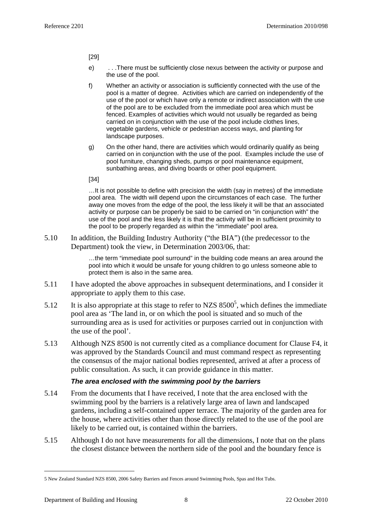[29]

- e) . . .There must be sufficiently close nexus between the activity or purpose and the use of the pool.
- f) Whether an activity or association is sufficiently connected with the use of the pool is a matter of degree. Activities which are carried on independently of the use of the pool or which have only a remote or indirect association with the use of the pool are to be excluded from the immediate pool area which must be fenced. Examples of activities which would not usually be regarded as being carried on in conjunction with the use of the pool include clothes lines, vegetable gardens, vehicle or pedestrian access ways, and planting for landscape purposes.
- g) On the other hand, there are activities which would ordinarily qualify as being carried on in conjunction with the use of the pool. Examples include the use of pool furniture, changing sheds, pumps or pool maintenance equipment, sunbathing areas, and diving boards or other pool equipment.

[34]

…It is not possible to define with precision the width (say in metres) of the immediate pool area. The width will depend upon the circumstances of each case. The further away one moves from the edge of the pool, the less likely it will be that an associated activity or purpose can be properly be said to be carried on "in conjunction with" the use of the pool and the less likely it is that the activity will be in sufficient proximity to the pool to be properly regarded as within the "immediate" pool area.

5.10 In addition, the Building Industry Authority ("the BIA") (the predecessor to the Department) took the view, in Determination 2003/06, that:

> …the term "immediate pool surround" in the building code means an area around the pool into which it would be unsafe for young children to go unless someone able to protect them is also in the same area.

- 5.11 I have adopted the above approaches in subsequent determinations, and I consider it appropriate to apply them to this case.
- 5.12 It is also appropriate at this stage to refer to NZS  $8500^5$ , which defines the immediate pool area as 'The land in, or on which the pool is situated and so much of the surrounding area as is used for activities or purposes carried out in conjunction with the use of the pool'.
- 5.13 Although NZS 8500 is not currently cited as a compliance document for Clause F4, it was approved by the Standards Council and must command respect as representing the consensus of the major national bodies represented, arrived at after a process of public consultation. As such, it can provide guidance in this matter.

### **The area enclosed with the swimming pool by the barriers**

- 5.14 From the documents that I have received, I note that the area enclosed with the swimming pool by the barriers is a relatively large area of lawn and landscaped gardens, including a self-contained upper terrace. The majority of the garden area for the house, where activities other than those directly related to the use of the pool are likely to be carried out, is contained within the barriers.
- 5.15 Although I do not have measurements for all the dimensions, I note that on the plans the closest distance between the northern side of the pool and the boundary fence is

 $\overline{a}$ 

<sup>5</sup> New Zealand Standard NZS 8500, 2006 Safety Barriers and Fences around Swimming Pools, Spas and Hot Tubs.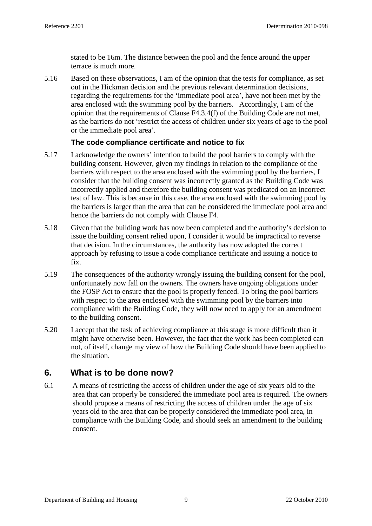stated to be 16m. The distance between the pool and the fence around the upper terrace is much more.

5.16 Based on these observations, I am of the opinion that the tests for compliance, as set out in the Hickman decision and the previous relevant determination decisions, regarding the requirements for the 'immediate pool area', have not been met by the area enclosed with the swimming pool by the barriers. Accordingly, I am of the opinion that the requirements of Clause F4.3.4(f) of the Building Code are not met, as the barriers do not 'restrict the access of children under six years of age to the pool or the immediate pool area'.

## **The code compliance certificate and notice to fix**

- 5.17 I acknowledge the owners' intention to build the pool barriers to comply with the building consent. However, given my findings in relation to the compliance of the barriers with respect to the area enclosed with the swimming pool by the barriers, I consider that the building consent was incorrectly granted as the Building Code was incorrectly applied and therefore the building consent was predicated on an incorrect test of law. This is because in this case, the area enclosed with the swimming pool by the barriers is larger than the area that can be considered the immediate pool area and hence the barriers do not comply with Clause F4.
- 5.18 Given that the building work has now been completed and the authority's decision to issue the building consent relied upon, I consider it would be impractical to reverse that decision. In the circumstances, the authority has now adopted the correct approach by refusing to issue a code compliance certificate and issuing a notice to fix.
- 5.19 The consequences of the authority wrongly issuing the building consent for the pool, unfortunately now fall on the owners. The owners have ongoing obligations under the FOSP Act to ensure that the pool is properly fenced. To bring the pool barriers with respect to the area enclosed with the swimming pool by the barriers into compliance with the Building Code, they will now need to apply for an amendment to the building consent.
- 5.20 I accept that the task of achieving compliance at this stage is more difficult than it might have otherwise been. However, the fact that the work has been completed can not, of itself, change my view of how the Building Code should have been applied to the situation.

## **6. What is to be done now?**

6.1 A means of restricting the access of children under the age of six years old to the area that can properly be considered the immediate pool area is required. The owners should propose a means of restricting the access of children under the age of six years old to the area that can be properly considered the immediate pool area, in compliance with the Building Code, and should seek an amendment to the building consent.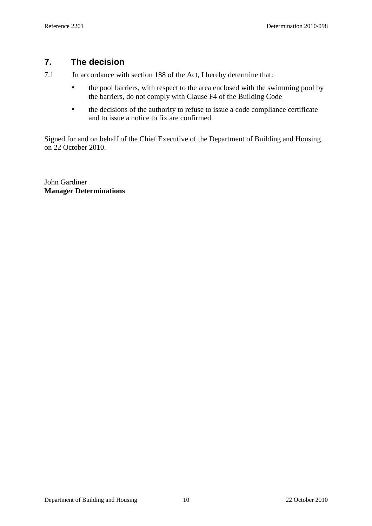## **7. The decision**

7.1 In accordance with section 188 of the Act, I hereby determine that:

- the pool barriers, with respect to the area enclosed with the swimming pool by the barriers, do not comply with Clause F4 of the Building Code
- the decisions of the authority to refuse to issue a code compliance certificate and to issue a notice to fix are confirmed.

Signed for and on behalf of the Chief Executive of the Department of Building and Housing on 22 October 2010.

John Gardiner **Manager Determinations**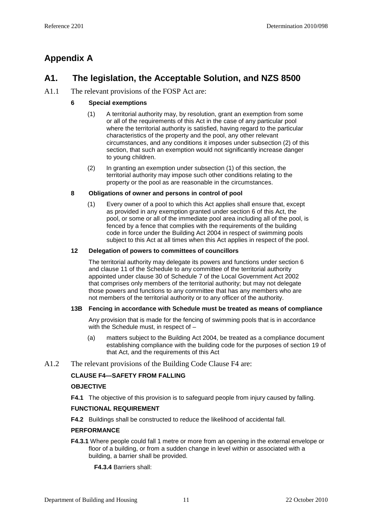## **Appendix A**

## **A1. The legislation, the Acceptable Solution, and NZS 8500**

### A1.1 The relevant provisions of the FOSP Act are:

### **6 Special exemptions**

- (1) A territorial authority may, by resolution, grant an exemption from some or all of the requirements of this Act in the case of any particular pool where the territorial authority is satisfied, having regard to the particular characteristics of the property and the pool, any other relevant circumstances, and any conditions it imposes under subsection (2) of this section, that such an exemption would not significantly increase danger to young children.
- (2) In granting an exemption under subsection (1) of this section, the territorial authority may impose such other conditions relating to the property or the pool as are reasonable in the circumstances.

### **8 Obligations of owner and persons in control of pool**

(1) Every owner of a pool to which this Act applies shall ensure that, except as provided in any exemption granted under section 6 of this Act, the pool, or some or all of the immediate pool area including all of the pool, is fenced by a fence that complies with the requirements of the building code in force under the Building Act 2004 in respect of swimming pools subject to this Act at all times when this Act applies in respect of the pool.

#### **12 Delegation of powers to committees of councillors**

The territorial authority may delegate its powers and functions under section 6 and clause 11 of the Schedule to any committee of the territorial authority appointed under clause 30 of Schedule 7 of the Local Government Act 2002 that comprises only members of the territorial authority; but may not delegate those powers and functions to any committee that has any members who are not members of the territorial authority or to any officer of the authority.

#### **13B Fencing in accordance with Schedule must be treated as means of compliance**

Any provision that is made for the fencing of swimming pools that is in accordance with the Schedule must, in respect of –

- (a) matters subject to the Building Act 2004, be treated as a compliance document establishing compliance with the building code for the purposes of section 19 of that Act, and the requirements of this Act
- A1.2 The relevant provisions of the Building Code Clause F4 are:

### **CLAUSE F4—SAFETY FROM FALLING**

#### **OBJECTIVE**

**F4.1** The objective of this provision is to safeguard people from injury caused by falling.

#### **FUNCTIONAL REQUIREMENT**

**F4.2** Buildings shall be constructed to reduce the likelihood of accidental fall.

#### **PERFORMANCE**

**F4.3.1** Where people could fall 1 metre or more from an opening in the external envelope or floor of a building, or from a sudden change in level within or associated with a building, a barrier shall be provided.

**F4.3.4** Barriers shall: